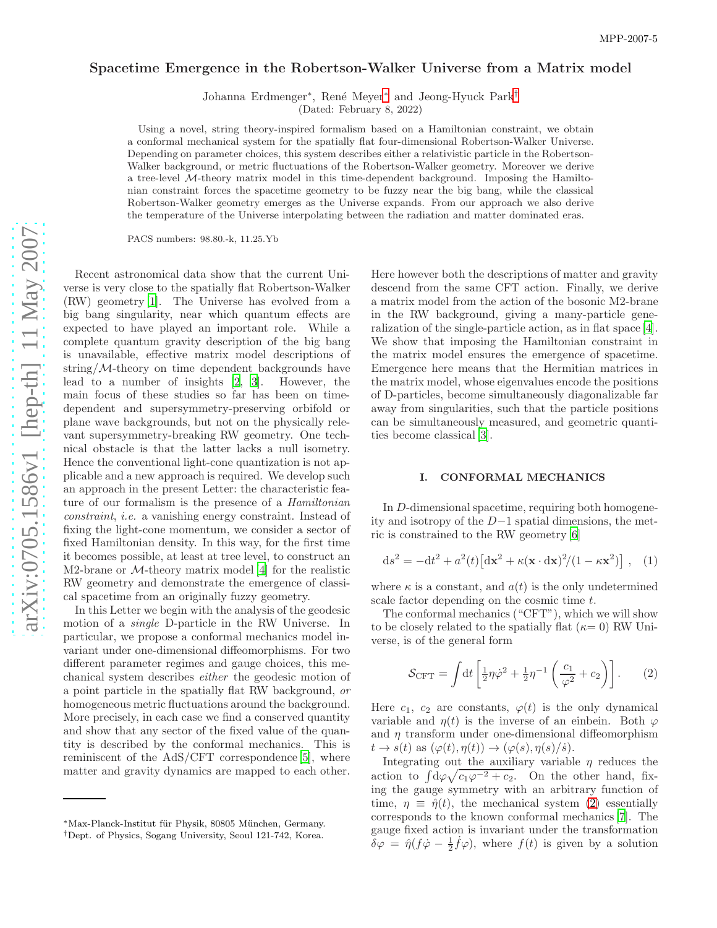## Spacetime Emergence in the Robertson-Walker Universe from a Matrix model

Johanna Erdmenger<sup>\*</sup>, René Meyer<sup>\*</sup> and Jeong-Hyuck Park<sup>[†](#page-0-1)</sup>

(Dated: February 8, 2022)

Using a novel, string theory-inspired formalism based on a Hamiltonian constraint, we obtain a conformal mechanical system for the spatially flat four-dimensional Robertson-Walker Universe. Depending on parameter choices, this system describes either a relativistic particle in the Robertson-Walker background, or metric fluctuations of the Robertson-Walker geometry. Moreover we derive a tree-level M-theory matrix model in this time-dependent background. Imposing the Hamiltonian constraint forces the spacetime geometry to be fuzzy near the big bang, while the classical Robertson-Walker geometry emerges as the Universe expands. From our approach we also derive the temperature of the Universe interpolating between the radiation and matter dominated eras.

PACS numbers: 98.80.-k, 11.25.Yb

Recent astronomical data show that the current Universe is very close to the spatially flat Robertson-Walker (RW) geometry [\[1\]](#page-3-0). The Universe has evolved from a big bang singularity, near which quantum effects are expected to have played an important role. While a complete quantum gravity description of the big bang is unavailable, effective matrix model descriptions of string/ M-theory on time dependent backgrounds have lead to a number of insights [\[2,](#page-3-1) [3\]](#page-3-2). However, the main focus of these studies so far has been on timedependent and supersymmetry-preserving orbifold or plane wave backgrounds, but not on the physically relevant supersymmetry-breaking RW geometry. One technical obstacle is that the latter lacks a null isometry. Hence the conventional light-cone quantization is not applicable and a new approach is required. We develop such an approach in the present Letter: the characteristic feature of our formalism is the presence of a Hamiltonian constraint , i.e. a vanishing energy constraint. Instead of fixing the light-cone momentum, we consider a sector of fixed Hamiltonian density. In this way, for the first time it becomes possible, at least at tree level, to construct an M2-brane or *M*-theory matrix model [\[4](#page-3-3)] for the realistic RW geometry and demonstrate the emergence of classical spacetime from an originally fuzzy geometry.

In this Letter we begin with the analysis of the geodesic motion of a single D-particle in the RW Universe. In particular, we propose a conformal mechanics model invariant under one-dimensional diffeomorphisms. For two different parameter regimes and gauge choices, this mechanical system describes either the geodesic motion of a point particle in the spatially flat RW background, or homogeneous metric fluctuations around the background. More precisely, in each case we find a conserved quantity and show that any sector of the fixed value of the quantity is described by the conformal mechanics. This is reminiscent of the AdS/CFT correspondence [\[5](#page-3-4)], where matter and gravity dynamics are mapped to each other.

Here however both the descriptions of matter and gravity descend from the same CFT action. Finally, we derive a matrix model from the action of the bosonic M2-brane in the RW background, giving a many-particle generalization of the single-particle action, as in flat space [\[4\]](#page-3-3). We show that imposing the Hamiltonian constraint in the matrix model ensures the emergence of spacetime. Emergence here means that the Hermitian matrices in the matrix model, whose eigenvalues encode the positions of D-particles, become simultaneously diagonalizable far away from singularities, such that the particle positions can be simultaneously measured, and geometric quantities become classical [\[3](#page-3-2)].

## <span id="page-0-4"></span>I. CONFORMAL MECHANICS

In D-dimensional spacetime, requiring both homogeneity and isotropy of the D−1 spatial dimensions, the metric is constrained to the RW geometry [\[6](#page-3-5)]

<span id="page-0-3"></span>
$$
ds^{2} = -dt^{2} + a^{2}(t) \left[ dx^{2} + \kappa (\mathbf{x} \cdot dx)^{2} / (1 - \kappa \mathbf{x}^{2}) \right], \quad (1)
$$

where  $\kappa$  is a constant, and  $a(t)$  is the only undetermined scale factor depending on the cosmic time t .

The conformal mechanics ("CFT"), which we will show to be closely related to the spatially flat  $(\kappa = 0)$  RW Universe, is of the general form

<span id="page-0-2"></span>
$$
S_{\text{CFT}} = \int dt \left[ \frac{1}{2} \eta \dot{\varphi}^2 + \frac{1}{2} \eta^{-1} \left( \frac{c_1}{\varphi^2} + c_2 \right) \right]. \tag{2}
$$

Here  $c_1$ ,  $c_2$  are constants,  $\varphi(t)$  is the only dynamical variable and  $\eta(t)$  is the inverse of an einbein. Both  $\varphi$ and  $\eta$  transform under one-dimensional diffeomorphism  $t \to s(t)$  as  $(\varphi(t), \eta(t)) \to (\varphi(s), \eta(s)/s)$ .

Integrating out the auxiliary variable  $\eta$  reduces the action to  $\int d\varphi \sqrt{c_1\varphi^{-2}+c_2}$ . On the other hand, fixing the gauge symmetry with an arbitrary function of time,  $\eta \equiv \hat{\eta}(t)$ , the mechanical system ([2\)](#page-0-2) essentially corresponds to the known conformal mechanics [\[7\]](#page-3-6). The gauge fixed action is invariant under the transformation  $\delta \varphi = \hat{\eta} (f \dot{\varphi} - \frac{1}{2} \dot{f} \varphi)$ , where  $f(t)$  is given by a solution

<span id="page-0-0"></span><sup>∗</sup>Max-Planck-Institut f¨ur Physik, 80805 M¨unchen, Germany.

<span id="page-0-1"></span><sup>†</sup>Dept. of Physics, Sogang University, Seoul 121-742, Korea.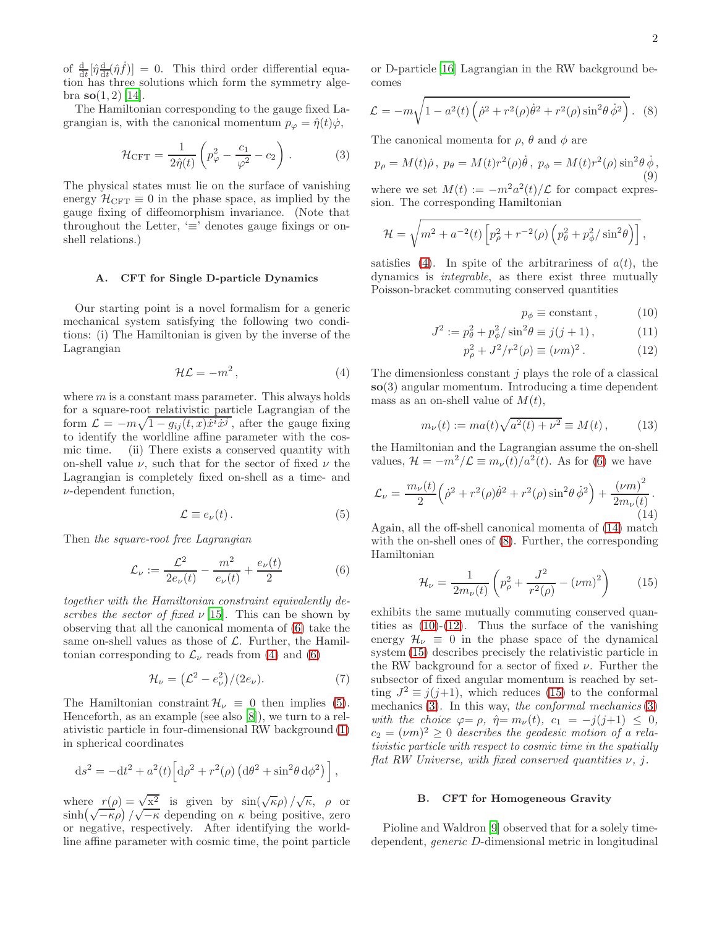of  $\frac{d}{dt}[\hat{\eta} \frac{d}{dt}(\hat{\eta}f)] = 0$ . This third order differential equation has three solutions which form the symmetry algebra  $so(1, 2)$  [\[14\]](#page-3-7).

The Hamiltonian corresponding to the gauge fixed Lagrangian is, with the canonical momentum  $p_{\varphi} = \hat{\eta}(t)\dot{\varphi}$ ,

<span id="page-1-8"></span>
$$
\mathcal{H}_{\rm CFT} = \frac{1}{2\hat{\eta}(t)} \left( p_{\varphi}^2 - \frac{c_1}{\varphi^2} - c_2 \right). \tag{3}
$$

The physical states must lie on the surface of vanishing energy  $\mathcal{H}_{CFT} \equiv 0$  in the phase space, as implied by the gauge fixing of diffeomorphism invariance. (Note that throughout the Letter,  $\equiv$ ' denotes gauge fixings or onshell relations.)

# A. CFT for Single D-particle Dynamics

Our starting point is a novel formalism for a generic mechanical system satisfying the following two conditions: (i) The Hamiltonian is given by the inverse of the Lagrangian

<span id="page-1-1"></span>
$$
\mathcal{HL} = -m^2 \,,\tag{4}
$$

where  $m$  is a constant mass parameter. This always holds for a square-root relativistic particle Lagrangian of the form  $\mathcal{L} = -m\sqrt{1 - g_{ij}(t, x)x^i \dot{x}^j}$ , after the gauge fixing to identify the worldline affine parameter with the cosmic time. (ii) There exists a conserved quantity with on-shell value  $\nu$ , such that for the sector of fixed  $\nu$  the Lagrangian is completely fixed on-shell as a time- and  $\nu$ -dependent function,

<span id="page-1-2"></span>
$$
\mathcal{L} \equiv e_{\nu}(t). \tag{5}
$$

Then the square-root free Lagrangian

<span id="page-1-0"></span>
$$
\mathcal{L}_{\nu} := \frac{\mathcal{L}^2}{2e_{\nu}(t)} - \frac{m^2}{e_{\nu}(t)} + \frac{e_{\nu}(t)}{2}
$$
(6)

together with the Hamiltonian constraint equivalently describes the sector of fixed  $\nu$  [\[15](#page-3-8)]. This can be shown by observing that all the canonical momenta of [\(6\)](#page-1-0) take the same on-shell values as those of  $\mathcal{L}$ . Further, the Hamiltonian corresponding to  $\mathcal{L}_{\nu}$  reads from [\(4\)](#page-1-1) and [\(6\)](#page-1-0)

$$
\mathcal{H}_{\nu} = \left(\mathcal{L}^2 - e_{\nu}^2\right) / (2e_{\nu}).\tag{7}
$$

The Hamiltonian constraint  $\mathcal{H}_{\nu} \equiv 0$  then implies [\(5\)](#page-1-2). Henceforth, as an example (see also [\[8](#page-3-9)]), we turn to a relativistic particle in four-dimensional RW background [\(1\)](#page-0-3) in spherical coordinates

$$
ds^{2} = -dt^{2} + a^{2}(t) \left[ d\rho^{2} + r^{2}(\rho) \left( d\theta^{2} + \sin^{2}\theta d\phi^{2} \right) \right],
$$

where  $r(\rho) = \sqrt{x^2}$  is given by  $\sin(\sqrt{\kappa}\rho)/\sqrt{\kappa}$ ,  $\rho$  or  $\sinh(\sqrt{-\kappa\rho})/\sqrt{-\kappa}$  depending on  $\kappa$  being positive, zero or negative, respectively. After identifying the worldline affine parameter with cosmic time, the point particle or D-particle [\[16](#page-3-10)] Lagrangian in the RW background becomes

<span id="page-1-4"></span>
$$
\mathcal{L} = -m\sqrt{1 - a^2(t)\left(\dot{\rho}^2 + r^2(\rho)\dot{\theta}^2 + r^2(\rho)\sin^2\theta\,\dot{\phi}^2\right)}.
$$
 (8)

The canonical momenta for  $\rho$ ,  $\theta$  and  $\phi$  are

$$
p_{\rho} = M(t)\dot{\rho}, \ p_{\theta} = M(t)r^{2}(\rho)\dot{\theta}, \ p_{\phi} = M(t)r^{2}(\rho)\sin^{2}\theta\dot{\phi},
$$
\n(9)

where we set  $M(t) := -m^2 a^2(t)/\mathcal{L}$  for compact expression. The corresponding Hamiltonian

$$
\mathcal{H} = \sqrt{m^2 + a^{-2}(t) \left[ p_\rho^2 + r^{-2}(\rho) \left( p_\theta^2 + p_\phi^2 / \sin^2 \theta \right) \right]},
$$

satisfies [\(4\)](#page-1-1). In spite of the arbitrariness of  $a(t)$ , the dynamics is integrable, as there exist three mutually Poisson-bracket commuting conserved quantities

<span id="page-1-6"></span><span id="page-1-5"></span>
$$
p_{\phi} \equiv \text{constant},\qquad(10)
$$

$$
J^2 := p_\theta^2 + p_\phi^2 / \sin^2 \theta \equiv j(j+1), \qquad (11)
$$

$$
p_{\rho}^{2} + J^{2}/r^{2}(\rho) \equiv (\nu m)^{2}. \qquad (12)
$$

The dimensionless constant  $j$  plays the role of a classical so(3) angular momentum. Introducing a time dependent mass as an on-shell value of  $M(t)$ ,

<span id="page-1-9"></span>
$$
m_{\nu}(t) := ma(t)\sqrt{a^2(t) + \nu^2} \equiv M(t),
$$
 (13)

the Hamiltonian and the Lagrangian assume the on-shell values,  $\mathcal{H} = -m^2/\mathcal{L} \equiv m_\nu(t)/a^2(t)$ . As for [\(6\)](#page-1-0) we have

<span id="page-1-3"></span>
$$
\mathcal{L}_{\nu} = \frac{m_{\nu}(t)}{2} \left( \dot{\rho}^2 + r^2(\rho)\dot{\theta}^2 + r^2(\rho)\sin^2\theta \,\dot{\phi}^2 \right) + \frac{(\nu m)^2}{2m_{\nu}(t)}.
$$
\n(14)

Again, all the off-shell canonical momenta of [\(14\)](#page-1-3) match with the on-shell ones of [\(8\)](#page-1-4). Further, the corresponding Hamiltonian

<span id="page-1-7"></span>
$$
\mathcal{H}_{\nu} = \frac{1}{2m_{\nu}(t)} \left( p_{\rho}^{2} + \frac{J^{2}}{r^{2}(\rho)} - (\nu m)^{2} \right)
$$
 (15)

exhibits the same mutually commuting conserved quantities as  $(10)-(12)$  $(10)-(12)$ . Thus the surface of the vanishing energy  $\mathcal{H}_{\nu} \equiv 0$  in the phase space of the dynamical system [\(15\)](#page-1-7) describes precisely the relativistic particle in the RW background for a sector of fixed  $\nu$ . Further the subsector of fixed angular momentum is reached by setting  $J^2 \equiv j(j+1)$ , which reduces [\(15\)](#page-1-7) to the conformal mechanics  $(3)$ . In this way, the conformal mechanics  $(3)$ with the choice  $\varphi = \rho, \hat{\eta} = m_{\nu}(t), c_1 = -j(j+1) \leq 0,$  $c_2 = (\nu m)^2 \geq 0$  describes the geodesic motion of a relativistic particle with respect to cosmic time in the spatially flat RW Universe, with fixed conserved quantities  $\nu$ , j.

#### B. CFT for Homogeneous Gravity

Pioline and Waldron [\[9\]](#page-3-11) observed that for a solely timedependent, generic D-dimensional metric in longitudinal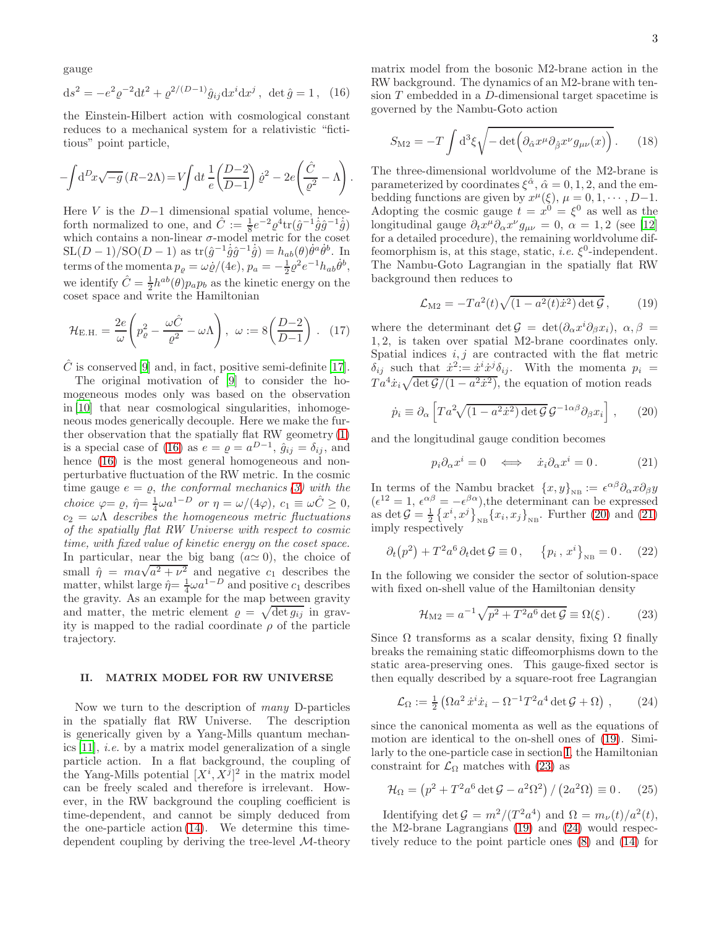gauge

<span id="page-2-0"></span>
$$
ds^{2} = -e^{2} \varrho^{-2} dt^{2} + \varrho^{2/(D-1)} \hat{g}_{ij} dx^{i} dx^{j}, \ \det \hat{g} = 1, \ (16)
$$

the Einstein-Hilbert action with cosmological constant reduces to a mechanical system for a relativistic "fictitious" point particle,

$$
-\int d^{D}x\sqrt{-g}\left(R - 2\Lambda\right) = V\!\!\int dt\,\frac{1}{e}\left(\frac{D - 2}{D - 1}\right)\dot{\varrho}^{2} - 2e\left(\frac{\hat{C}}{\varrho^{2}} - \Lambda\right)
$$

.

Here  $V$  is the  $D-1$  dimensional spatial volume, henceforth normalized to one, and  $\hat{C} := \frac{1}{8}e^{-2} \varrho^4 \text{tr}(\hat{g}^{-1}\dot{\hat{g}}\hat{g}^{-1}\dot{\hat{g}})$ which contains a non-linear  $\sigma$ -model metric for the coset  $SL(D-1)/SO(D-1)$  as  $\text{tr}(\hat{g}^{-1}\hat{g}\hat{g}^{-1}\hat{g}) = h_{ab}(\theta)\hat{\theta}^a\hat{\theta}^b$ . In terms of the momenta  $p_{\varrho} = \omega \dot{\varrho}/(4e)$ ,  $p_a = -\frac{1}{2}\varrho^2 e^{-1}h_{ab}\dot{\theta}^b$ , we identify  $\hat{C} = \frac{1}{2} h^{ab}(\theta) p_a p_b$  as the kinetic energy on the coset space and write the Hamiltonian

$$
\mathcal{H}_{\text{E.H.}} = \frac{2e}{\omega} \left( p_{\varrho}^2 - \frac{\omega \hat{C}}{\varrho^2} - \omega \Lambda \right), \ \omega := 8 \left( \frac{D-2}{D-1} \right). \tag{17}
$$

 $\hat{C}$  is conserved [\[9](#page-3-11)] and, in fact, positive semi-definite [\[17\]](#page-3-12).

The original motivation of [\[9](#page-3-11)] to consider the homogeneous modes only was based on the observation in [\[10\]](#page-3-13) that near cosmological singularities, inhomogeneous modes generically decouple. Here we make the further observation that the spatially flat RW geometry [\(1\)](#page-0-3) is a special case of [\(16\)](#page-2-0) as  $e = \varrho = a^{D-1}$ ,  $\hat{g}_{ij} = \delta_{ij}$ , and hence  $(16)$  is the most general homogeneous and nonperturbative fluctuation of the RW metric. In the cosmic time gauge  $e = \varrho$ , the conformal mechanics [\(3\)](#page-1-8) with the choice  $\varphi = \varrho, \ \hat{\eta} = \frac{1}{4} \omega a^{1-D}$  or  $\eta = \omega/(4\varphi), \ c_1 \equiv \omega \hat{C} \ge 0,$  $c_2 = \omega \Lambda$  describes the homogeneous metric fluctuations of the spatially flat RW Universe with respect to cosmic time, with fixed value of kinetic energy on the coset space. In particular, near the big bang  $(a \approx 0)$ , the choice of small  $\hat{\eta} = ma\sqrt{a^2 + v^2}$  and negative  $c_1$  describes the matter, whilst large  $\hat{\eta} = \frac{1}{4}\omega a^{1-D}$  and positive  $c_1$  describes the gravity. As an example for the map between gravity and matter, the metric element  $\rho = \sqrt{\det g_{ij}}$  in gravity is mapped to the radial coordinate  $\rho$  of the particle trajectory.

### II. MATRIX MODEL FOR RW UNIVERSE

Now we turn to the description of many D-particles in the spatially flat RW Universe. The description is generically given by a Yang-Mills quantum mechanics [\[11\]](#page-3-14), i.e. by a matrix model generalization of a single particle action. In a flat background, the coupling of the Yang-Mills potential  $[X^i, X^j]^2$  in the matrix model can be freely scaled and therefore is irrelevant. However, in the RW background the coupling coefficient is time-dependent, and cannot be simply deduced from the one-particle action  $(14)$ . We determine this timedependent coupling by deriving the tree-level  $M$ -theory

matrix model from the bosonic M2-brane action in the RW background. The dynamics of an M2-brane with tension T embedded in a D-dimensional target spacetime is governed by the Nambu-Goto action

$$
S_{\rm M2} = -T \int d^3 \xi \sqrt{-\det \left( \partial_{\hat{\alpha}} x^{\mu} \partial_{\hat{\beta}} x^{\nu} g_{\mu\nu}(x) \right)}.
$$
 (18)

The three-dimensional worldvolume of the M2-brane is parameterized by coordinates  $\xi^{\hat{\alpha}}$ ,  $\hat{\alpha} = 0, 1, 2$ , and the embedding functions are given by  $x^{\mu}(\xi)$ ,  $\mu = 0, 1, \dots, D-1$ . Adopting the cosmic gauge  $t = x^0 = \xi^0$  as well as the longitudinal gauge  $\partial_t x^{\mu} \partial_{\alpha} x^{\nu} g_{\mu\nu} = 0$ ,  $\alpha = 1, 2$  (see [\[12](#page-3-15)] for a detailed procedure), the remaining worldvolume diffeomorphism is, at this stage, static, *i.e.*  $\xi^0$ -independent. The Nambu-Goto Lagrangian in the spatially flat RW background then reduces to

<span id="page-2-3"></span>
$$
\mathcal{L}_{\text{M2}} = -Ta^2(t)\sqrt{(1 - a^2(t)\dot{x}^2)\det\mathcal{G}},\qquad(19)
$$

where the determinant det  $\mathcal{G} = \det(\partial_{\alpha} x^i \partial_{\beta} x_i), \alpha, \beta =$ 1, 2, is taken over spatial M2-brane coordinates only. Spatial indices  $i, j$  are contracted with the flat metric  $\delta_{ij}$  such that  $\dot{x}^2 := \dot{x}^i \dot{x}^j \delta_{ij}$ . With the momenta  $p_i =$  $Ta^4\dot{x}_i\sqrt{\det\mathcal{G}/(1-a^2\dot{x}^2)}$ , the equation of motion reads

<span id="page-2-1"></span>
$$
\dot{p}_i \equiv \partial_\alpha \left[ T a^2 \sqrt{(1 - a^2 \dot{x}^2) \det \mathcal{G}} \, \mathcal{G}^{-1 \alpha \beta} \partial_\beta x_i \right] \,, \qquad (20)
$$

and the longitudinal gauge condition becomes

<span id="page-2-2"></span>
$$
p_i \partial_\alpha x^i = 0 \quad \Longleftrightarrow \quad \dot{x}_i \partial_\alpha x^i = 0. \tag{21}
$$

In terms of the Nambu bracket  $\{x, y\}_{\text{NB}} := \epsilon^{\alpha\beta}\partial_{\alpha}x\partial_{\beta}y$  $(\epsilon^{12} = 1, \epsilon^{\alpha\beta} = -\epsilon^{\beta\alpha})$ , the determinant can be expressed as det  $\mathcal{G} = \frac{1}{2} \left\{ x^i, x^j \right\}_{\text{NB}} \left\{ x_i, x_j \right\}_{\text{NB}}$ . Further [\(20\)](#page-2-1) and [\(21\)](#page-2-2) imply respectively

<span id="page-2-6"></span>
$$
\partial_t(p^2) + T^2 a^6 \partial_t \det \mathcal{G} \equiv 0, \quad \{p_i, x^i\}_{_{\text{NB}}} = 0. \quad (22)
$$

In the following we consider the sector of solution-space with fixed on-shell value of the Hamiltonian density

<span id="page-2-4"></span>
$$
\mathcal{H}_{\mathrm{M2}} = a^{-1} \sqrt{p^2 + T^2 a^6 \det \mathcal{G}} \equiv \Omega(\xi) \,. \tag{23}
$$

Since  $\Omega$  transforms as a scalar density, fixing  $\Omega$  finally breaks the remaining static diffeomorphisms down to the static area-preserving ones. This gauge-fixed sector is then equally described by a square-root free Lagrangian

<span id="page-2-5"></span>
$$
\mathcal{L}_{\Omega} := \frac{1}{2} \left( \Omega a^2 \dot{x}^i \dot{x}_i - \Omega^{-1} T^2 a^4 \det \mathcal{G} + \Omega \right) , \qquad (24)
$$

since the canonical momenta as well as the equations of motion are identical to the on-shell ones of [\(19\)](#page-2-3). Similarly to the one-particle case in section [I,](#page-0-4) the Hamiltonian constraint for  $\mathcal{L}_{\Omega}$  matches with [\(23\)](#page-2-4) as

<span id="page-2-7"></span>
$$
\mathcal{H}_{\Omega} = \left(p^2 + T^2 a^6 \det \mathcal{G} - a^2 \Omega^2\right) / \left(2a^2 \Omega\right) \equiv 0. \quad (25)
$$

Identifying  $\det \mathcal{G} = m^2/(T^2 a^4)$  and  $\Omega = m_\nu(t)/a^2(t)$ , the M2-brane Lagrangians [\(19\)](#page-2-3) and [\(24\)](#page-2-5) would respectively reduce to the point particle ones [\(8\)](#page-1-4) and [\(14\)](#page-1-3) for